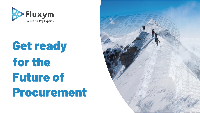

# Get ready for the Future of Procurement

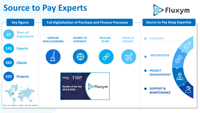#### **Source to Pay Experts**



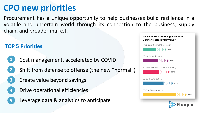### **CPO new priorities**

Procurement has a unique opportunity to help businesses build resilience in a volatile and uncertain world through its connection to the business, supply chain, and broader market.

Which metrics are being used in the

C-suite to assess your value?

#### Third-party budget % reduction **TOP 5 Priorities** $31%$ SG&A % contribution **1** Cost management, accelerated by COVID  $36%$ ROI on functional cost vs. P&L savings Shift from defense to offense (the new "normal") **2**  $39%$ Create value beyond savings COGS % contribution **3**  $\Rightarrow$  47% Drive operational efficiencies **4** EBITDA % contribution  $\triangleright$   $\triangleright$  78% Leverage data & analytics to anticipate **5**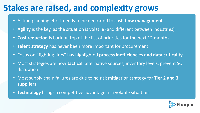### **Stakes are raised, and complexity grows**

- Action planning effort needs to be dedicated to **cash flow management**
- **Agility** is the key, as the situation is volatile (and different between industries)
- **Cost reduction** is back on top of the list of priorities for the next 12 months
- **Talent strategy** has never been more important for procurement
- Focus on "fighting fires" has highlighted **process inefficiencies and data criticality**
- Most strategies are now **tactical**: alternative sources, inventory levels, prevent SC disruption..
- Most supply chain failures are due to no risk mitigation strategy for **Tier 2 and 3 suppliers**
- **Technology** brings a competitive advantage in a volatile situation

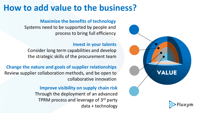#### **How to add value to the business?**

#### **Maximize the benefits of technology**

Systems need to be supported by people and process to bring full efficiency

#### **Invest in your talents**

Consider long term capabilities and develop the strategic skills of the procurement team

**Change the nature and goals of supplier relationships** Review supplier collaboration methods, and be open to collaborative innovation

> **Improve visibility on supply chain risk** Through the deployment of an advanced TPRM process and leverage of 3rd party data + technology

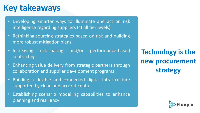### **Key takeaways**

- Developing smarter ways to illuminate and act on risk intelligence regarding suppliers (at all tier levels)
- Rethinking sourcing strategies based on risk and building more robust mitigation plans
- Increasing risk-sharing and/or performance-based contracting
- Enhancing value delivery from strategic partners through collaboration and supplier development programs
- Building a flexible and connected digital infrastructure supported by clean and accurate data
- Establishing scenario modelling capabilities to enhance planning and resiliency

**Technology is the new procurement strategy**

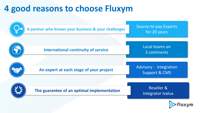### **4 good reasons to choose Fluxym**



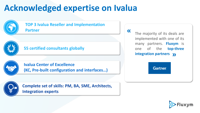## **Acknowledged expertise on Ivalua**



#### **TOP 3 Ivalua Reseller and Implementation Partner**



#### **55 certified consultants globally**



#### **Ivalua Center of Excellence (KC, Pre-built configuration and interfaces…)**

**Complete set of skills: PM, BA, SME, Architects, Integration experts**

The majority of its deals are implemented with one of its many partners. **Fluxym** is one of the **top-three integration partners** »

«

**Gartner** 

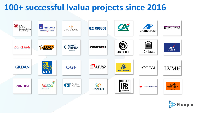### **100+ successful Ivalua projects since 2016**